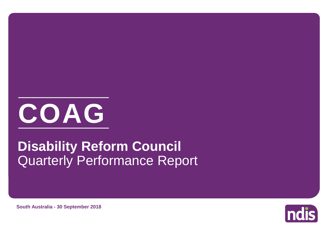

# Quarterly Performance Report **Disability Reform Council**

**South Australia - 30 September 2018**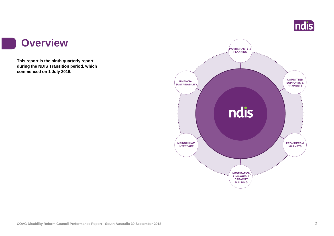

#### **Overview**

a s

**This report is the ninth quarterly report during the NDIS Transition period, which commenced on 1 July 2016.**

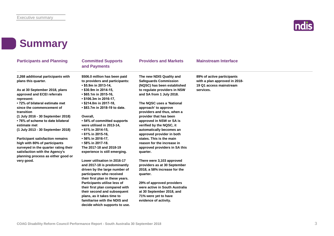

#### **Summary**

| <b>Participants and Planning</b>                                                                                 | <b>Committed Supports</b><br>and Payments                                                     | <b>Providers and Markets</b>                                                              | <b>Mainstream Interface</b>                                                            |
|------------------------------------------------------------------------------------------------------------------|-----------------------------------------------------------------------------------------------|-------------------------------------------------------------------------------------------|----------------------------------------------------------------------------------------|
| 2,268 additional participants with<br>plans this quarter.                                                        | \$506.0 million has been paid<br>to providers and participants:<br>• \$5.9m in 2013-14,       | The new NDIS Quality and<br><b>Safeguards Commission</b><br>(NQSC) has been established   | 89% of active participants<br>with a plan approved in 2018-<br>19 Q1 access mainstream |
| As at 30 September 2018, plans<br>approved and ECEI referrals<br>represent:                                      | $\cdot$ \$30.9m in 2014-15,<br>$\cdot$ \$65.1m in 2015-16,<br>• \$106.3m in 2016-17,          | to regulate providers in NSW<br>and SA from 1 July 2018.                                  | services.                                                                              |
| • 72% of bilateral estimate met<br>since the commencement of<br>transition                                       | $\cdot$ \$214.0m in 2017-18,<br>• \$83.7m in 2018-19 to date.                                 | The NQSC uses a 'National<br>approach' to approve<br>providers and thus, when a           |                                                                                        |
| (1 July 2016 - 30 September 2018)<br>• 76% of scheme to date bilateral<br>estimate met                           | Overall,<br>• 54% of committed supports<br>were utilised in 2013-14,                          | provider that has been<br>approved in NSW or SA is<br>verified by the NQSC, it            |                                                                                        |
| (1 July 2013 - 30 September 2018)                                                                                | • 61% in 2014-15,<br>$\cdot$ 61% in 2015-16,                                                  | automatically becomes an<br>approved provider in both                                     |                                                                                        |
| <b>Participant satisfaction remains</b><br>high with 80% of participants<br>surveyed in the quarter rating their | • 56% in 2016-17,<br>• 58% in 2017-18.<br>The 2017-18 and 2018-19                             | states. This is the main<br>reason for the increase in<br>approved providers in SA this   |                                                                                        |
| satisfaction with the Agency's<br>planning process as either good or                                             | experience is still emerging.                                                                 | quarter.                                                                                  |                                                                                        |
| very good.                                                                                                       | Lower utilisation in 2016-17<br>and 2017-18 is predominantly<br>driven by the large number of | There were 3,103 approved<br>providers as at 30 September<br>2018, a 58% increase for the |                                                                                        |
|                                                                                                                  | participants who received<br>their first plan in these years.                                 | quarter.                                                                                  |                                                                                        |
|                                                                                                                  | Participants utilise less of<br>their first plan compared with                                | 29% of approved providers<br>were active in South Australia                               |                                                                                        |
|                                                                                                                  | their second and subsequent<br>plans, as it takes time to                                     | at 30 September 2018, and<br>71% were yet to have                                         |                                                                                        |

**evidence of activity.**

#### **COAG Disability Reform Council Performance Report - South Australia 30 September 2018** 3

**familiarise with the NDIS and decide which supports to use.**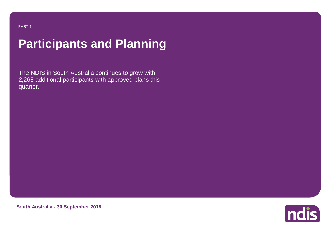# **Participants and Planning**

The NDIS in South Australia continues to grow with 2,268 additional participants with approved plans this quarter.



**South Australia - 30 September 2018**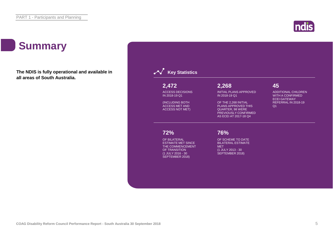### **Summary**

**The NDIS is fully operational and available in all areas of South Australia.**



ndis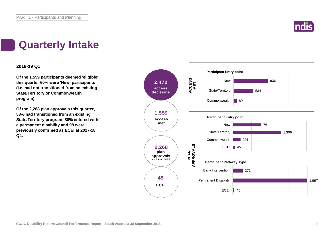

### **Quarterly Intake**

#### **2018-19 Q1**

**Of the 1,559 participants deemed 'eligible' this quarter 60% were 'New' participants (i.e. had not transitioned from an existing State/Territory or Commonwealth program).**

**Of the 2,268 plan approvals this quarter, 58% had transitioned from an existing State/Territory program, 88% entered with a permanent disability and 98 were previously confirmed as ECEI at 2017-18 Q4.**

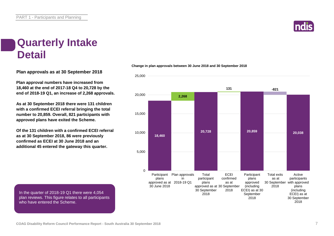

#### **Quarterly Intake Detail**

**Plan approvals as at 30 September 2018**

**Plan approval numbers have increased from 18,460 at the end of 2017-18 Q4 to 20,728 by the end of 2018-19 Q1, an increase of 2,268 approvals.**

**As at 30 September 2018 there were 131 children with a confirmed ECEI referral bringing the total number to 20,859. Overall, 821 participants with approved plans have exited the Scheme.**

**Of the 131 children with a confirmed ECEI referral as at 30 September 2018, 86 were previously confirmed as ECEI at 30 June 2018 and an additional 45 entered the gateway this quarter.**

#### **Change in plan approvals between 30 June 2018 and 30 September 2018**



In the quarter of 2018-19 Q1 there were 4,054 plan reviews. This figure relates to all participants who have entered the Scheme.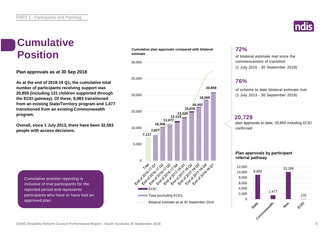

#### **Cumulative Position**

**Plan approvals as at 30 Sep 2018**

**As at the end of 2018-19 Q1, the cumulative total number of participants receiving support was 20,859 (including 131 children supported through the ECEI gateway). Of these, 9,083 transitioned from an existing State/Territory program and 1,477 transitioned from an existing Commonwealth program.**

**Overall, since 1 July 2013, there have been 32,583 people with access decisions.**

Cumulative position reporting is inclusive of trial participants for the reported period and represents participants who have or have had an approved plan.

#### **Cumulative plan approvals compared with bilateral estimate**



#### **72%**

of bilateral estimate met since the commencement of transition (1 July 2016 - 30 September 2018)

#### **76%**

of scheme to date bilateral estimate met (1 July 2013 - 30 September 2018)

#### **20,728**

plan approvals to date; 20,859 including ECEI confirmed

#### **Plan approvals by participant referral pathway**

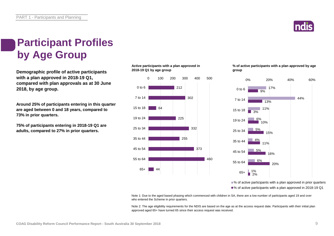

### **Participant Profiles by Age Group**

**Demographic profile of active participants with a plan approved in 2018-19 Q1, compared with plan approvals as at 30 June 2018, by age group.**

**Around 25% of participants entering in this quarter are aged between 0 and 18 years, compared to 73% in prior quarters.** 

**75% of participants entering in 2018-19 Q1 are adults, compared to 27% in prior quarters.**

**Active participants with a plan approved in 2018-19 Q1 by age group**



**% of active participants with a plan approved by age group**



■% of active participants with a plan approved in prior quarters ■% of active participants with a plan approved in 2018-19 Q1

Note 1: Due to the aged based phasing which commenced with children in SA, there are a low number of participants aged 19 and over who entered the Scheme in prior quarters.

Note 2: The age eligibility requirements for the NDIS are based on the age as at the access request date. Participants with their initial plan approved aged 65+ have turned 65 since their access request was received.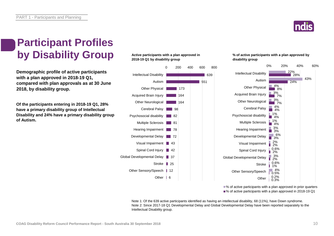

### **Participant Profiles by Disability Group**

**Demographic profile of active participants with a plan approved in 2018-19 Q1, compared with plan approvals as at 30 June 2018, by disability group.**

**Of the participants entering in 2018-19 Q1, 28% have a primary disability group of Intellectual Disability and 24% have a primary disability group of Autism.**

#### **Active participants with a plan approved in 2018-19 Q1 by disability group**



#### **% of active participants with a plan approved by disability group**



■% of active participants with a plan approved in prior quarters ■% of active participants with a plan approved in 2018-19 Q1

Note 1: Of the 639 active participants identified as having an intellectual disability, 68 (11%), have Down syndrome. Note 2: Since 2017-18 Q1 Developmental Delay and Global Developmental Delay have been reported separately to the Intellectual Disability group.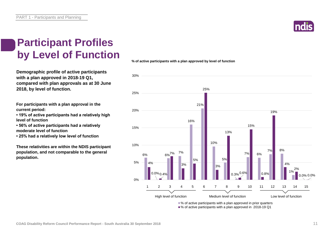### **Participant Profiles by Level of Function**

**Demographic profile of active participants with a plan approved in 2018-19 Q1, compared with plan approvals as at 30 June 2018, by level of function.**

**For participants with a plan approval in the current period:** 

**• 19% of active participants had a relatively high level of function**

**• 56% of active participants had a relatively moderate level of function** 

**• 25% had a relatively low level of function**

**These relativities are within the NDIS participant population, and not comparable to the general population.**





**% of active participants with a plan approved by level of function**



■% of active participants with a plan approved in 2018-19 Q1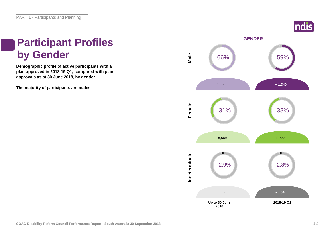# **Participant Profiles**

**Demographic profile of active participants with a plan approved in 2018-19 Q1, compared with plan approvals as at 30 June 2018, by gender.**

**The majority of participants are males.**

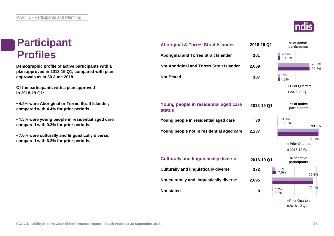### **Participant Profiles**

**Demographic profile of active participants with a plan approved in 2018-19 Q1, compared with plan approvals as at 30 June 2018.**

**Of the participants with a plan approved in 2018-19 Q1:**

**• 4.5% were Aboriginal or Torres Strait Islander, compared with 4.4% for prior periods.**

**• 1.3% were young people in residential aged care, compared with 0.3% for prior periods.**

**• 7.6% were culturally and linguistically diverse, compared with 6.3% for prior periods.**

| <b>Aboriginal &amp; Torres Strait Islander</b>         | 2018-19 Q1 |              | % of active<br>participants |                |
|--------------------------------------------------------|------------|--------------|-----------------------------|----------------|
| <b>Aboriginal and Torres Strait Islander</b>           | 101        | 4.4%<br>4.5% |                             |                |
| Not Aboriginal and Torres Strait Islander              | 2,059      |              |                             | 90.3%<br>90.8% |
| <b>Not Stated</b>                                      | 107        | 5.3%<br>4.7% |                             |                |
|                                                        |            |              | <b>Prior Quarters</b>       |                |
|                                                        |            |              | ■2018-19 Q1                 |                |
| Young people in residential aged care<br><b>status</b> | 2018-19 Q1 |              | % of active<br>participants |                |
| Young people in residential aged care                  | 30         | 0.3%<br>1.3% |                             | 99.7%          |
| Young people not in residential aged care              | 2,237      |              |                             |                |
|                                                        |            |              |                             | 98.7%          |
|                                                        |            |              | Prior Quarters              |                |
|                                                        |            |              | ■2018-19 Q1                 |                |
| <b>Culturally and linguistically diverse</b>           | 2018-19 Q1 |              | % of active<br>participants |                |
| <b>Culturally and linguistically diverse</b>           | 172        | 6.3%<br>7.6% |                             |                |
|                                                        |            |              |                             | 92.5%          |
| Not culturally and linguistically diverse              | 2,095      |              |                             |                |
| <b>Not stated</b>                                      | 0          | 1.2%<br>0.0% |                             | 92.4%          |
|                                                        |            |              | Prior Quarters              |                |
|                                                        |            |              | ■2018-19 Q1                 |                |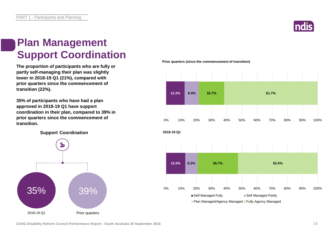

### **Plan Management Support Coordination**

**The proportion of participants who are fully or partly self-managing their plan was slightly lower in 2018-19 Q1 (21%), compared with prior quarters since the commencement of transition (22%).** 

**35% of participants who have had a plan approved in 2018-19 Q1 have support coordination in their plan, compared to 39% in prior quarters since the commencement of transition.**

**Support Coordination**



**Prior quarters (since the commencement of transition)**

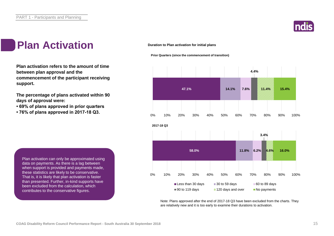

#### **Plan Activation**

**Plan activation refers to the amount of time between plan approval and the commencement of the participant receiving support.**

**The percentage of plans activated within 90 days of approval were:** 

- **69% of plans approved in prior quarters**
- **76% of plans approved in 2017-18 Q3.**

**Duration to Plan activation for initial plans**

**Prior Quarters (since the commencement of transition)** 



Note: Plans approved after the end of 2017-18 Q3 have been excluded from the charts. They are relatively new and it is too early to examine their durations to activation.

Plan activation can only be approximated using data on payments. As there is a lag between when support is provided and payments made, these statistics are likely to be conservative. That is, it is likely that plan activation is faster than presented. Further, in-kind supports have been excluded from the calculation, which contributes to the conservative figures.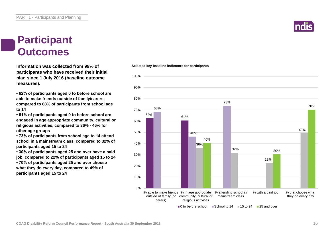#### **Participant Outcomes**

**Information was collected from 99% of participants who have received their initial plan since 1 July 2016 (baseline outcome measures).**

**• 62% of participants aged 0 to before school are able to make friends outside of family/carers, compared to 68% of participants from school age to 14**

**• 61% of participants aged 0 to before school are engaged in age appropriate community, cultural or religious activities, compared to 36% - 46% for other age groups**

**• 73% of participants from school age to 14 attend school in a mainstream class, compared to 32% of participants aged 15 to 24**

**• 30% of participants aged 25 and over have a paid job, compared to 22% of participants aged 15 to 24 • 70% of participants aged 25 and over choose what they do every day, compared to 49% of participants aged 15 to 24**

#### 62% 61% 68% 46% 73% 36% 32% 22% 49% 40% 30% 10% 20% 30% 40% 50% 60% 70% 80% 90% 100%

**Selected key baseline indicators for participants**



 $\Box$ 0 to before school  $\Box$  School to 14  $\Box$  15 to 24  $\Box$  25 and over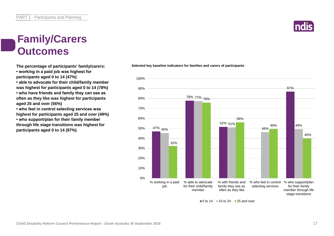### **Family/Carers Outcomes**

**The percentage of participants' family/carers:**

**• working in a paid job was highest for participants aged 0 to 14 (47%)**

**• able to advocate for their child/family member was highest for participants aged 0 to 14 (78%)**

**• who have friends and family they can see as often as they like was highest for participants aged 25 and over (56%)**

**• who feel in control selecting services was highest for participants aged 25 and over (49%) • who support/plan for their family member through life stage transitions was highest for participants aged 0 to 14 (87%)**

47% <sub>45%</sub> 78% 77% 76% 52% 51% 87% 46% 49% 32% 56% 49% 40% 0% 10% 20% 30% 40% 50% 60% 70% 80% 90% 100% % working in a paid job % able to advocate for their child/family member % with friends and family they see as often as they like % who feel in control selecting services % who support/plan for their family member through life stage transitions

 $\Box$  0 to 14  $\Box$  15 to 24  $\Box$  25 and over

**Selected key baseline indicators for families and carers of participants**

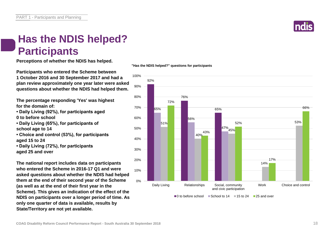

### **Has the NDIS helped? Participants**

**Perceptions of whether the NDIS has helped.**

**Participants who entered the Scheme between 1 October 2016 and 30 September 2017 and had a plan review approximately one year later were asked questions about whether the NDIS had helped them.**

**The percentage responding 'Yes' was highest for the domain of:**

- **Daily Living (92%), for participants aged**
- **0 to before school**
- **Daily Living (65%), for participants of school age to 14**
- **Choice and control (53%), for participants aged 15 to 24**
- **Daily Living (72%), for participants aged 25 and over**

**The national report includes data on participants who entered the Scheme in 2016-17 Q1 and were asked questions about whether the NDIS had helped them at the end of their second year of the Scheme (as well as at the end of their first year in the Scheme). This gives an indication of the effect of the NDIS on participants over a longer period of time. As only one quarter of data is available, results by State/Territory are not yet available.**

**"Has the NDIS helped?" questions for participants**

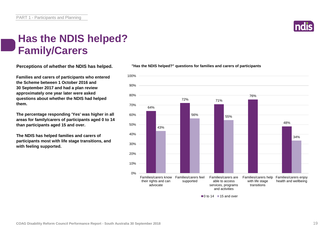### **Has the NDIS helped? Family/Carers**

**Perceptions of whether the NDIS has helped.**

**Families and carers of participants who entered the Scheme between 1 October 2016 and 30 September 2017 and had a plan review approximately one year later were asked questions about whether the NDIS had helped them.**

**The percentage responding 'Yes' was higher in all areas for family/carers of participants aged 0 to 14 than participants aged 15 and over.**

**The NDIS has helped families and carers of participants most with life stage transitions, and with feeling supported.**

#### **"Has the NDIS helped?" questions for families and carers of participants**



 $\blacksquare$ 0 to 14  $\blacksquare$  15 and over

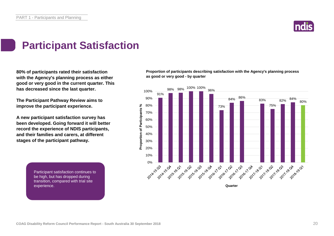

### **Participant Satisfaction**

**80% of participants rated their satisfaction with the Agency's planning process as either good or very good in the current quarter. This has decreased since the last quarter.** 

**The Participant Pathway Review aims to improve the participant experience.**

**A new participant satisfaction survey has been developed. Going forward it will better record the experience of NDIS participants, and their families and carers, at different stages of the participant pathway.**

> Participant satisfaction continues to be high, but has dropped during transition, compared with trial site experience. The NDIS process and what happens  $\mathbb{R}^n$

**Proportion of participants describing satisfaction with the Agency's planning process as good or very good - by quarter**

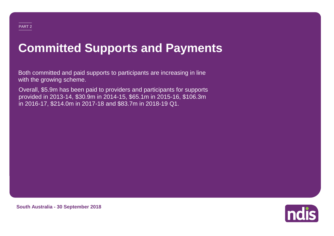# **Committed Supports and Payments**

Both committed and paid supports to participants are increasing in line with the growing scheme.

Overall, \$5.9m has been paid to providers and participants for supports provided in 2013-14, \$30.9m in 2014-15, \$65.1m in 2015-16, \$106.3m in 2016-17, \$214.0m in 2017-18 and \$83.7m in 2018-19 Q1.



**South Australia - 30 September 2018**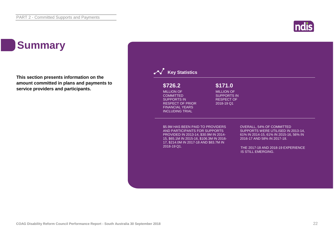### ndis

### **Summary**

**This section presents information on the amount committed in plans and payments to service providers and participants.**

| \$726.2                                                                                                                                                                                                           | \$171.0                                 |                                                                                                                                                                                                                    |
|-------------------------------------------------------------------------------------------------------------------------------------------------------------------------------------------------------------------|-----------------------------------------|--------------------------------------------------------------------------------------------------------------------------------------------------------------------------------------------------------------------|
| <b>MILLION OF</b>                                                                                                                                                                                                 | <b>MILLION OF</b>                       |                                                                                                                                                                                                                    |
| <b>COMMITTED</b><br><b>SUPPORTS IN</b>                                                                                                                                                                            | <b>SUPPORTS IN</b><br><b>RESPECT OF</b> |                                                                                                                                                                                                                    |
| <b>RESPECT OF PRIOR</b>                                                                                                                                                                                           | 2018-19 Q1                              |                                                                                                                                                                                                                    |
| <b>FINANCIAL YEARS</b><br><b>INCLUDING TRIAL</b>                                                                                                                                                                  |                                         |                                                                                                                                                                                                                    |
| \$5.9M HAS BEEN PAID TO PROVIDERS<br>AND PARTICIPANTS FOR SUPPORTS<br>PROVIDED IN 2013-14, \$30.9M IN 2014-<br>15, \$65.1M IN 2015-16, \$106.3M IN 2016-<br>17, \$214.0M IN 2017-18 AND \$83.7M IN<br>2018-19 Q1. |                                         | <b>OVERALL, 54% OF COMMITTED</b><br>SUPPORTS WERE UTILISED IN 2013-14,<br>61% IN 2014-15, 61% IN 2015-16, 56% IN<br>2016-17 AND 58% IN 2017-18.<br>THE 2017-18 AND 2018-19 EXPERIENCE<br><b>IS STILL EMERGING.</b> |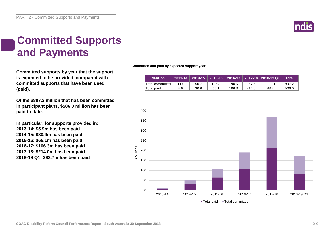

### **Committed Supports and Payments**

**Committed supports by year that the support is expected to be provided, compared with committed supports that have been used (paid).**

**Of the \$897.2 million that has been committed in participant plans, \$506.0 million has been paid to date.**

**In particular, for supports provided in: 2013-14: \$5.9m has been paid 2014-15: \$30.9m has been paid 2015-16: \$65.1m has been paid 2016-17: \$106.3m has been paid 2017-18: \$214.0m has been paid 2018-19 Q1: \$83.7m has been paid**

**Committed and paid by expected support year**

| <b>SMillion</b>   | $2013 - 14$ |      |       |       |       | │ 2014-15 │ 2015-16 │ 2016-17 │ 2017-18 │2018-19 Q1 | Total |
|-------------------|-------------|------|-------|-------|-------|-----------------------------------------------------|-------|
| 'Total committed. | 11 N        | 50.7 | 106.3 | 190.6 | 367.6 | 171.0                                               | 897.2 |
| 'Total paid       | 5.9         | 30.9 | 65.1  | 106.3 | 214.0 | 83.7                                                | 506.0 |

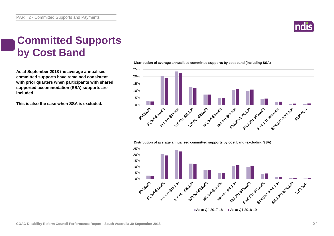

### **Committed Supports by Cost Band**

**As at September 2018 the average annualised committed supports have remained consistent with prior quarters when participants with shared supported accommodation (SSA) supports are included.**

**This is also the case when SSA is excluded.**



#### **Distribution of average annualised committed supports by cost band (excluding SSA)**

**Distribution of average annualised committed supports by cost band (including SSA)** 

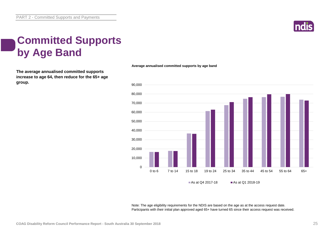

### **Committed Supports by Age Band**

**The average annualised committed supports increase to age 64, then reduce for the 65+ age group.**



Note: The age eligibility requirements for the NDIS are based on the age as at the access request date. Participants with their initial plan approved aged 65+ have turned 65 since their access request was received.

**Average annualised committed supports by age band**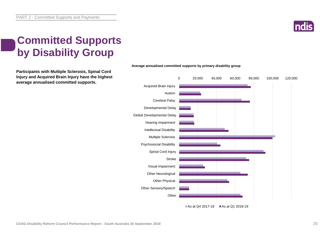

### **Committed Supports by Disability Group**

**Participants with Multiple Sclerosis, Spinal Cord Injury and Acquired Brain Injury have the highest average annualised committed supports.**



#### **Average annualised committed supports by primary disability group**

As at Q4 2017-18 As at Q1 2018-19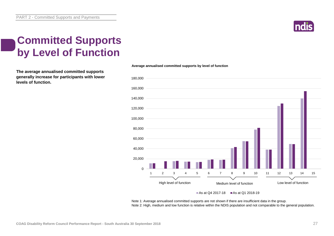

### **Committed Supports by Level of Function**

**The average annualised committed supports generally increase for participants with lower levels of function.**

#### $\Omega$ 20,000 40,000 60,000 80,000 100,000 120,000 140,000 160,000 180,000 High level of function<br>
Medium level of function<br>
Low level of function 1 2 3 4 5 6 7 8 9 10 11 12 13 14 15 High level of function Medium level of function Low level of function

#### As at Q4 2017-18  $\blacksquare$  As at Q1 2018-19

Note 1: Average annualised committed supports are not shown if there are insufficient data in the group. Note 2: High, medium and low function is relative within the NDIS population and not comparable to the general population.

#### **Average annualised committed supports by level of function**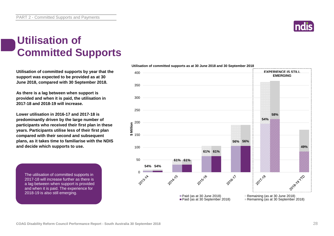### **Utilisation of Committed Supports**

**Utilisation of committed supports by year that the support was expected to be provided as at 30 June 2018, compared with 30 September 2018.** 

**As there is a lag between when support is provided and when it is paid, the utilisation in 2017-18 and 2018-19 will increase.** 

**Lower utilisation in 2016-17 and 2017-18 is predominantly driven by the large number of participants who received their first plan in these years. Participants utilise less of their first plan compared with their second and subsequent plans, as it takes time to familiarise with the NDIS and decide which supports to use.**

The utilisation of committed supports in 2017-18 will increase further as there is a lag between when support is provided and when it is paid. The experience for 2018-19 is also still emerging.



**Utilisation of committed supports as at 30 June 2018 and 30 September 2018**

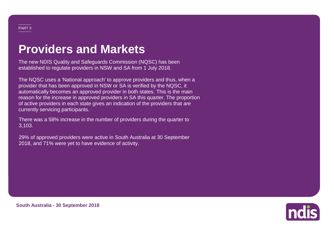### **Providers and Markets**

The new NDIS Quality and Safeguards Commission (NQSC) has been established to regulate providers in NSW and SA from 1 July 2018.

The NQSC uses a 'National approach' to approve providers and thus, when a provider that has been approved in NSW or SA is verified by the NQSC, it automatically becomes an approved provider in both states. This is the main reason for the increase in approved providers in SA this quarter. The proportion of active providers in each state gives an indication of the providers that are currently servicing participants.

There was a 58% increase in the number of providers during the quarter to 3,103.

29% of approved providers were active in South Australia at 30 September 2018, and 71% were yet to have evidence of activity.



**South Australia - 30 September 2018**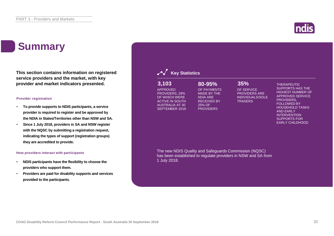### **Summary**

**This section contains information on registered service providers and the market, with key provider and market indicators presented.**

#### **Provider registration**

- **To provide supports to NDIS participants, a service provider is required to register and be approved by the NDIA in States/Territories other than NSW and SA.**
- **Since 1 July 2018, providers in SA and NSW register with the NQSC by submitting a registration request, indicating the types of support (registration groups) they are accredited to provide.**

#### **How providers interact with participants**

- **NDIS participants have the flexibility to choose the providers who support them.**
- **Providers are paid for disability supports and services provided to the participants.**

| 3,103<br><b>APPROVED</b><br>PROVIDERS, 29%<br>OF WHICH WERE<br><b>ACTIVE IN SOUTH</b><br><b>AUSTRALIA AT 30</b><br>SEPTEMBER 2018 | 80-95%<br>OF PAYMENTS<br><b>MADE BY THE</b><br><b>NDIA ARE</b><br><b>RECEIVED BY</b><br>25% OF<br><b>PROVIDERS</b> | 35%<br>OF SERVICE<br><b>PROVIDERS ARE</b><br><b>INDIVIDUALS/SOLE</b><br><b>TRADERS</b> | <b>THERAPEUTIC</b><br><b>SUPPORTS HAS THE</b><br><b>HIGHEST NUMBER OF</b><br><b>APPROVED SERVICE</b><br>PROVIDERS.<br><b>FOLLOWED BY</b><br><b>HOUSEHOLD TASKS</b><br><b>AND EARLY</b><br><b>INTERVENTION</b><br><b>SUPPORTS FOR</b><br><b>EARLY CHILDHOOD</b> |
|-----------------------------------------------------------------------------------------------------------------------------------|--------------------------------------------------------------------------------------------------------------------|----------------------------------------------------------------------------------------|----------------------------------------------------------------------------------------------------------------------------------------------------------------------------------------------------------------------------------------------------------------|
| 1 July 2018.                                                                                                                      | The new NDIS Quality and Safeguards Commission (NQSC)                                                              | has been established to regulate providers in NSW and SA from                          |                                                                                                                                                                                                                                                                |

**APPR** PROV OF WH **ACTIV AUSTR SEPTE** 

1 July

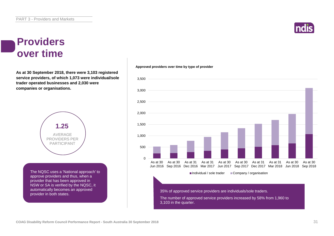#### **Providers over time**

**As at 30 September 2018, there were 3,103 registered service providers, of which 1,073 were individual/sole trader operated businesses and 2,030 were companies or organisations.**



The NQSC uses a 'National approach' to approve providers and thus, when a provider that has been approved in NSW or SA is verified by the NQSC, it automatically becomes an approved provider in both states.



#### **Approved providers over time by type of provider**



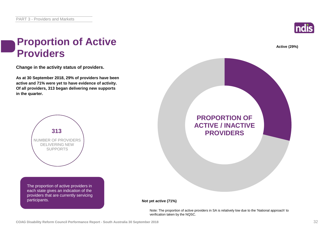

**Active (29%)**

#### **Proportion of Active Providers**

**Change in the activity status of providers.**

**As at 30 September 2018, 29% of providers have been active and 71% were yet to have evidence of activity. Of all providers, 313 began delivering new supports in the quarter.**



The proportion of active providers in each state gives an indication of the providers that are currently servicing participants.



#### **Not yet active (71%)**

Note: The proportion of active providers in SA is relatively low due to the 'National approach' to verification taken by the NQSC.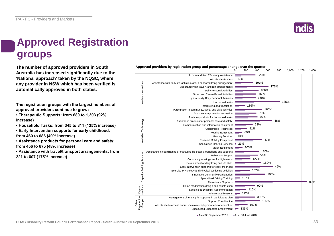

### **Approved Registration groups**

**The number of approved providers in South Approved providers by registration group and percentage change over the quarter**<br>
<sup>600</sup> **Australia has increased significantly due to the 'National approach' taken by the NQSC, where any provider in NSW which has been verified is automatically approved in both states.**

**The registration groups with the largest numbers of approved providers continue to grow:**

**• Therapeutic Supports: from 680 to 1,303 (92% increase)**

**• Household Tasks: from 345 to 811 (135% increase)**

**• Early Intervention supports for early childhood: from 460 to 686 (49% increase)**

**• Assistance products for personal care and safety: from 456 to 675 (48% increase)**

**• Assistance with travel/transport arrangements: from 221 to 607 (175% increase)**



As at 30 September 2018 As at 30 June 2018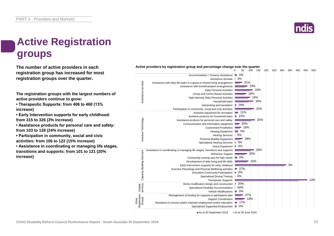### **Active Registration groups**

**The number of active providers in each registration group has increased for most registration groups over the quarter.**

**The registration groups with the largest numbers of active providers continue to grow:**

**• Therapeutic Supports: from 406 to 460 (13% increase)**

**• Early Intervention supports for early childhood: from 315 to 326 (3% increase)**

**• Assistance products for personal care and safety: from 103 to 128 (24% increase)**

**• Participation in community, social and civic activities: from 106 to 122 (15% increase)**

**• Assistance in coordinating or managing life stages, transitions and supports: from 101 to 121 (20% increase)**



#### **Active providers by registration group and percentage change over the quarter**

As at 30 September 2018 As at 30 June 2018

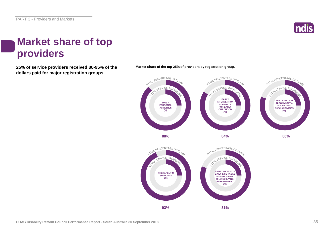

### **Market share of top providers**

**25% of service providers received 80-95% of the Market share of the top 25% of providers by registration group. dollars paid for major registration groups.**



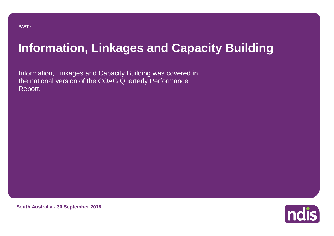# **Information, Linkages and Capacity Building**

Information, Linkages and Capacity Building was covered in the national version of the COAG Quarterly Performance Report.



**South Australia - 30 September 2018**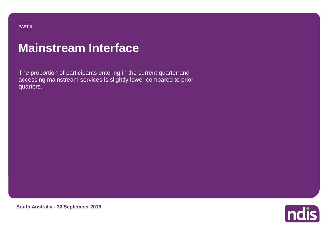#### PART 5

### **Mainstream Interface**

The proportion of participants entering in the current quarter and accessing mainstream services is slightly lower compared to prior quarters.



**South Australia - 30 September 2018**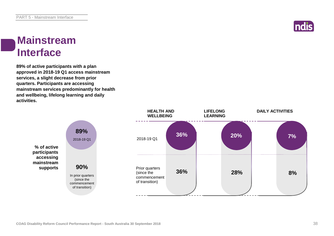

#### **Mainstream Interface**

**89% of active participants with a plan approved in 2018-19 Q1 access mainstream services, a slight decrease from prior quarters. Participants are accessing mainstream services predominantly for health and wellbeing, lifelong learning and daily activities.**